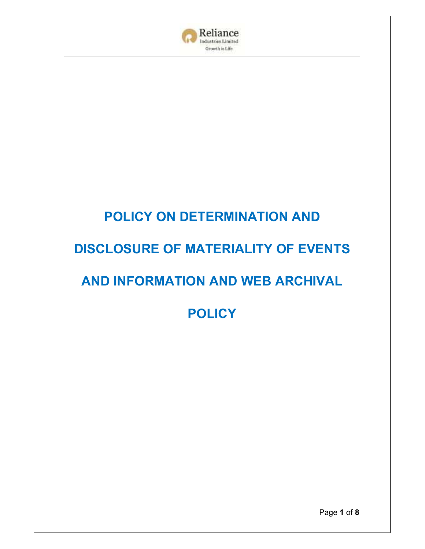

# **POLICY ON DETERMINATION AND**

## **DISCLOSURE OF MATERIALITY OF EVENTS**

## **AND INFORMATION AND WEB ARCHIVAL**

**POLICY**

Page **1** of **8**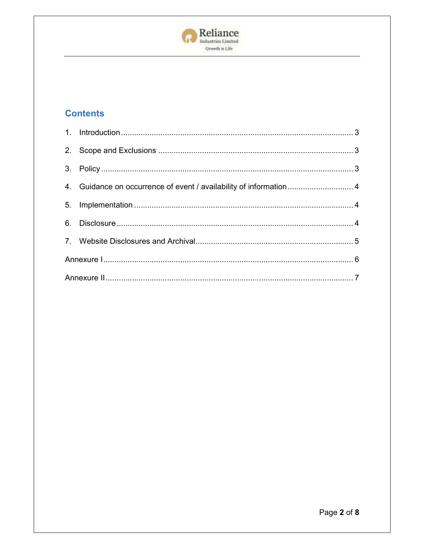

### **Contents**

| 4. Guidance on occurrence of event / availability of information 4 |  |
|--------------------------------------------------------------------|--|
|                                                                    |  |
|                                                                    |  |
|                                                                    |  |
|                                                                    |  |
|                                                                    |  |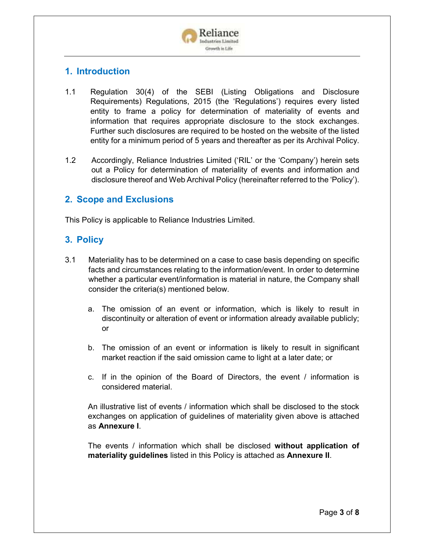

#### **1. Introduction**

- 1.1 Regulation 30(4) of the SEBI (Listing Obligations and Disclosure Requirements) Regulations, 2015 (the 'Regulations') requires every listed entity to frame a policy for determination of materiality of events and information that requires appropriate disclosure to the stock exchanges. Further such disclosures are required to be hosted on the website of the listed entity for a minimum period of 5 years and thereafter as per its Archival Policy.
- 1.2 Accordingly, Reliance Industries Limited ('RIL' or the 'Company') herein sets out a Policy for determination of materiality of events and information and disclosure thereof and Web Archival Policy (hereinafter referred to the 'Policy').

#### **2. Scope and Exclusions**

This Policy is applicable to Reliance Industries Limited.

### **3. Policy**

- 3.1 Materiality has to be determined on a case to case basis depending on specific facts and circumstances relating to the information/event. In order to determine whether a particular event/information is material in nature, the Company shall consider the criteria(s) mentioned below.
	- a. The omission of an event or information, which is likely to result in discontinuity or alteration of event or information already available publicly; or
	- b. The omission of an event or information is likely to result in significant market reaction if the said omission came to light at a later date; or
	- c. If in the opinion of the Board of Directors, the event / information is considered material.

An illustrative list of events / information which shall be disclosed to the stock exchanges on application of guidelines of materiality given above is attached as **Annexure I**.

The events / information which shall be disclosed **without application of materiality guidelines** listed in this Policy is attached as **Annexure II**.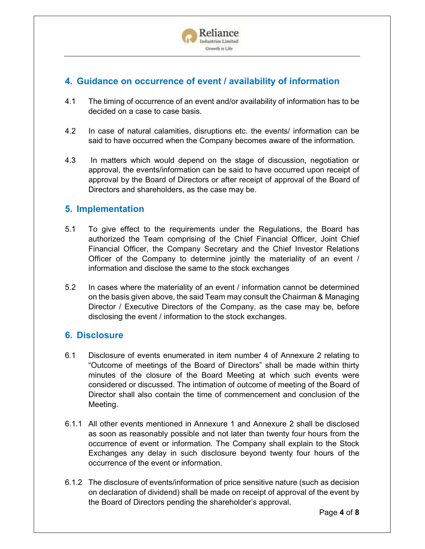

### **4. Guidance on occurrence of event / availability of information**

- 4.1 The timing of occurrence of an event and/or availability of information has to be decided on a case to case basis.
- 4.2 In case of natural calamities, disruptions etc. the events/ information can be said to have occurred when the Company becomes aware of the information.
- 4.3 In matters which would depend on the stage of discussion, negotiation or approval, the events/information can be said to have occurred upon receipt of approval by the Board of Directors or after receipt of approval of the Board of Directors and shareholders, as the case may be.

#### **5. Implementation**

- 5.1 To give effect to the requirements under the Regulations, the Board has authorized the Team comprising of the Chief Financial Officer, Joint Chief Financial Officer, the Company Secretary and the Chief Investor Relations Officer of the Company to determine jointly the materiality of an event / information and disclose the same to the stock exchanges
- 5.2 In cases where the materiality of an event / information cannot be determined on the basis given above, the said Team may consult the Chairman & Managing Director / Executive Directors of the Company, as the case may be, before disclosing the event / information to the stock exchanges.

#### **6. Disclosure**

- 6.1 Disclosure of events enumerated in item number 4 of Annexure 2 relating to "Outcome of meetings of the Board of Directors" shall be made within thirty minutes of the closure of the Board Meeting at which such events were considered or discussed. The intimation of outcome of meeting of the Board of Director shall also contain the time of commencement and conclusion of the Meeting.
- 6.1.1 All other events mentioned in Annexure 1 and Annexure 2 shall be disclosed as soon as reasonably possible and not later than twenty four hours from the occurrence of event or information. The Company shall explain to the Stock Exchanges any delay in such disclosure beyond twenty four hours of the occurrence of the event or information.
- 6.1.2 The disclosure of events/information of price sensitive nature (such as decision on declaration of dividend) shall be made on receipt of approval of the event by the Board of Directors pending the shareholder's approval.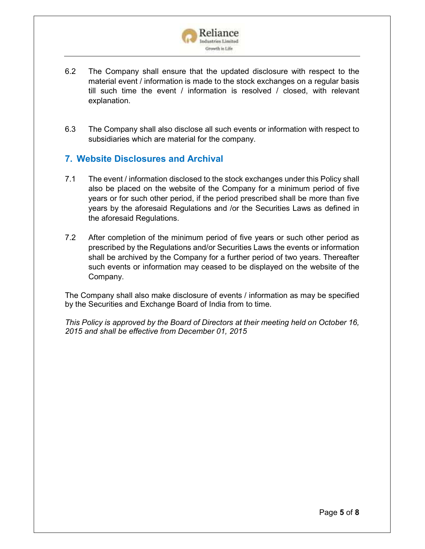

- 6.2 The Company shall ensure that the updated disclosure with respect to the material event / information is made to the stock exchanges on a regular basis till such time the event / information is resolved / closed, with relevant explanation.
- 6.3 The Company shall also disclose all such events or information with respect to subsidiaries which are material for the company.

#### **7. Website Disclosures and Archival**

- 7.1 The event / information disclosed to the stock exchanges under this Policy shall also be placed on the website of the Company for a minimum period of five years or for such other period, if the period prescribed shall be more than five years by the aforesaid Regulations and /or the Securities Laws as defined in the aforesaid Regulations.
- 7.2 After completion of the minimum period of five years or such other period as prescribed by the Regulations and/or Securities Laws the events or information shall be archived by the Company for a further period of two years. Thereafter such events or information may ceased to be displayed on the website of the Company.

The Company shall also make disclosure of events / information as may be specified by the Securities and Exchange Board of India from to time.

*This Policy is approved by the Board of Directors at their meeting held on October 16, 2015 and shall be effective from December 01, 2015*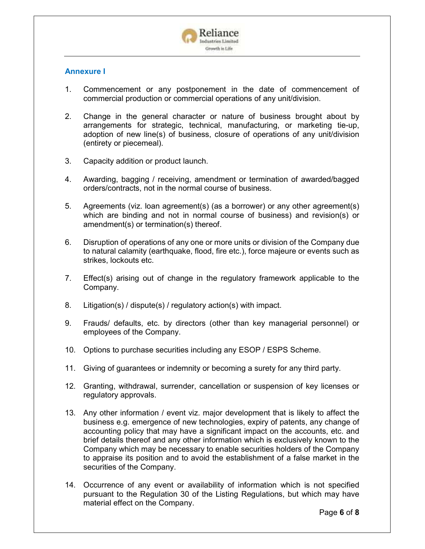

#### **Annexure I**

- 1. Commencement or any postponement in the date of commencement of commercial production or commercial operations of any unit/division.
- 2. Change in the general character or nature of business brought about by arrangements for strategic, technical, manufacturing, or marketing tie-up, adoption of new line(s) of business, closure of operations of any unit/division (entirety or piecemeal).
- 3. Capacity addition or product launch.
- 4. Awarding, bagging / receiving, amendment or termination of awarded/bagged orders/contracts, not in the normal course of business.
- 5. Agreements (viz. loan agreement(s) (as a borrower) or any other agreement(s) which are binding and not in normal course of business) and revision(s) or amendment(s) or termination(s) thereof.
- 6. Disruption of operations of any one or more units or division of the Company due to natural calamity (earthquake, flood, fire etc.), force majeure or events such as strikes, lockouts etc.
- 7. Effect(s) arising out of change in the regulatory framework applicable to the Company.
- 8. Litigation(s) / dispute(s) / regulatory action(s) with impact.
- 9. Frauds/ defaults, etc. by directors (other than key managerial personnel) or employees of the Company.
- 10. Options to purchase securities including any ESOP / ESPS Scheme.
- 11. Giving of guarantees or indemnity or becoming a surety for any third party.
- 12. Granting, withdrawal, surrender, cancellation or suspension of key licenses or regulatory approvals.
- 13. Any other information / event viz. major development that is likely to affect the business e.g. emergence of new technologies, expiry of patents, any change of accounting policy that may have a significant impact on the accounts, etc. and brief details thereof and any other information which is exclusively known to the Company which may be necessary to enable securities holders of the Company to appraise its position and to avoid the establishment of a false market in the securities of the Company.
- 14. Occurrence of any event or availability of information which is not specified pursuant to the Regulation 30 of the Listing Regulations, but which may have material effect on the Company.

Page **6** of **8**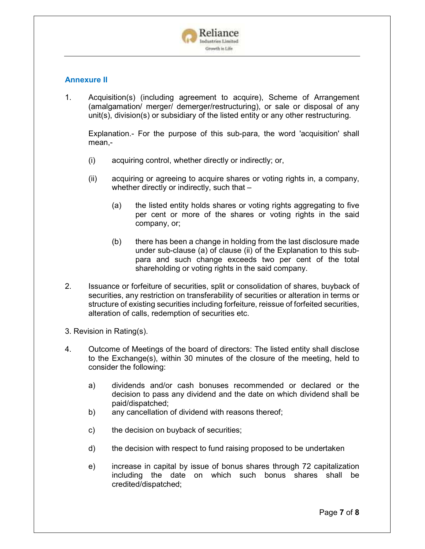

#### **Annexure II**

1. Acquisition(s) (including agreement to acquire), Scheme of Arrangement (amalgamation/ merger/ demerger/restructuring), or sale or disposal of any unit(s), division(s) or subsidiary of the listed entity or any other restructuring.

Explanation.- For the purpose of this sub-para, the word 'acquisition' shall mean,-

- (i) acquiring control, whether directly or indirectly; or,
- (ii) acquiring or agreeing to acquire shares or voting rights in, a company, whether directly or indirectly, such that -
	- (a) the listed entity holds shares or voting rights aggregating to five per cent or more of the shares or voting rights in the said company, or;
	- (b) there has been a change in holding from the last disclosure made under sub-clause (a) of clause (ii) of the Explanation to this subpara and such change exceeds two per cent of the total shareholding or voting rights in the said company.
- 2. Issuance or forfeiture of securities, split or consolidation of shares, buyback of securities, any restriction on transferability of securities or alteration in terms or structure of existing securities including forfeiture, reissue of forfeited securities, alteration of calls, redemption of securities etc.

3. Revision in Rating(s).

- 4. Outcome of Meetings of the board of directors: The listed entity shall disclose to the Exchange(s), within 30 minutes of the closure of the meeting, held to consider the following:
	- a) dividends and/or cash bonuses recommended or declared or the decision to pass any dividend and the date on which dividend shall be paid/dispatched;
	- b) any cancellation of dividend with reasons thereof;
	- c) the decision on buyback of securities;
	- d) the decision with respect to fund raising proposed to be undertaken
	- e) increase in capital by issue of bonus shares through 72 capitalization including the date on which such bonus shares shall be credited/dispatched;